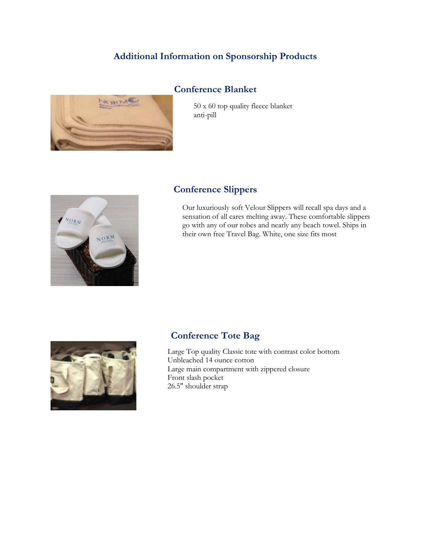## **Additional Information on Sponsorship Products**

#### **Conference Blanket**



50 x 60 top quality fleece blanket anti-pill



### **Conference Slippers**

Our luxuriously soft Velour Slippers will recall spa days and a sensation of all cares melting away. These comfortable slippers go with any of our robes and nearly any beach towel. Ships in their own free Travel Bag. White, one size fits most



### **Conference Tote Bag**

Large Top quality Classic tote with contrast color bottom Unbleached 14 ounce cotton Large main compartment with zippered closure Front slash pocket 26.5" shoulder strap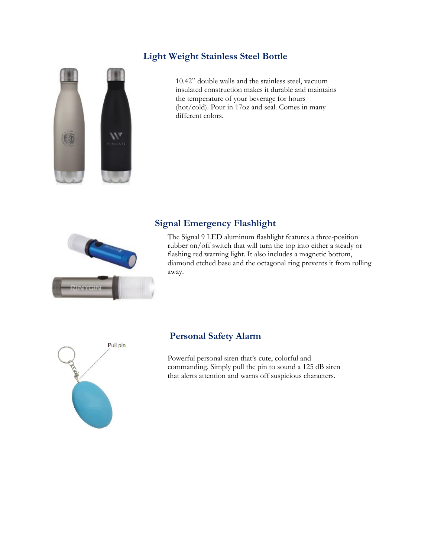### **Light Weight Stainless Steel Bottle**



10.42" double walls and the stainless steel, vacuum insulated construction makes it durable and maintains the temperature of your beverage for hours (hot/cold). Pour in 17oz and seal. Comes in many different colors.



# **Signal Emergency Flashlight**

The Signal 9 LED aluminum flashlight features a three-position rubber on/off switch that will turn the top into either a steady or flashing red warning light. It also includes a magnetic bottom, diamond etched base and the octagonal ring prevents it from rolling away.



## **Personal Safety Alarm**

Powerful personal siren that's cute, colorful and commanding. Simply pull the pin to sound a 125 dB siren that alerts attention and warns off suspicious characters.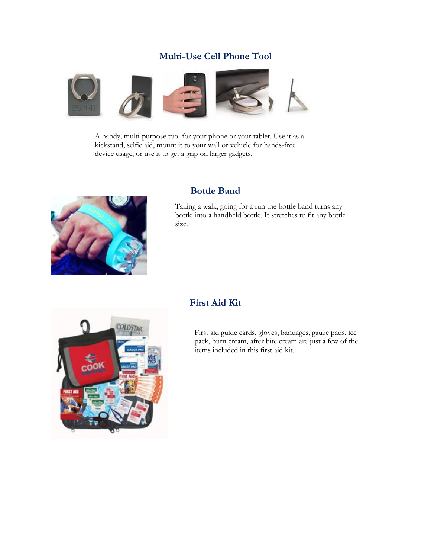# **Multi-Use Cell Phone Tool**



A handy, multi-purpose tool for your phone or your tablet. Use it as a kickstand, selfie aid, mount it to your wall or vehicle for hands-free device usage, or use it to get a grip on larger gadgets.



#### **Bottle Band**

Taking a walk, going for a run the bottle band turns any bottle into a handheld bottle. It stretches to fit any bottle size.



### **First Aid Kit**

First aid guide cards, gloves, bandages, gauze pads, ice pack, burn cream, after bite cream are just a few of the items included in this first aid kit.